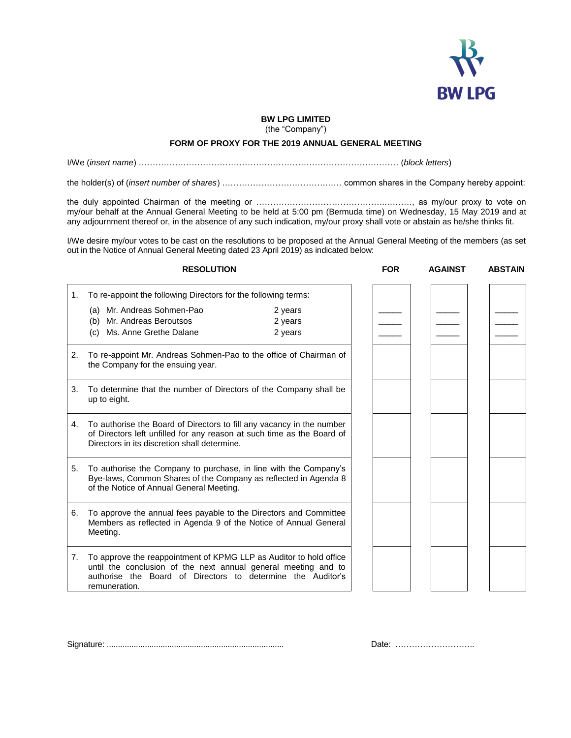

## **BW LPG LIMITED**

(the "Company")

## **FORM OF PROXY FOR THE 2019 ANNUAL GENERAL MEETING**

I/We (*insert name*) ………………………………………………………………………………… (*block letters*)

the holder(s) of (*insert number of shares*) ……………………………….…… common shares in the Company hereby appoint:

the duly appointed Chairman of the meeting or ………………………………………..………, as my/our proxy to vote on my/our behalf at the Annual General Meeting to be held at 5:00 pm (Bermuda time) on Wednesday, 15 May 2019 and at any adjournment thereof or, in the absence of any such indication, my/our proxy shall vote or abstain as he/she thinks fit.

I/We desire my/our votes to be cast on the resolutions to be proposed at the Annual General Meeting of the members (as set out in the Notice of Annual General Meeting dated 23 April 2019) as indicated below:

**RESOLUTION FOR AGAINST ABSTAIN**

| 1. | To re-appoint the following Directors for the following terms:                                                                                                                                                       |         |  |  |
|----|----------------------------------------------------------------------------------------------------------------------------------------------------------------------------------------------------------------------|---------|--|--|
|    | (a) Mr. Andreas Sohmen-Pao                                                                                                                                                                                           | 2 years |  |  |
|    | (b) Mr. Andreas Beroutsos                                                                                                                                                                                            | 2 years |  |  |
|    | (c) Ms. Anne Grethe Dalane                                                                                                                                                                                           | 2 years |  |  |
| 2. | To re-appoint Mr. Andreas Sohmen-Pao to the office of Chairman of<br>the Company for the ensuing year.                                                                                                               |         |  |  |
| 3. | To determine that the number of Directors of the Company shall be<br>up to eight.                                                                                                                                    |         |  |  |
| 4. | To authorise the Board of Directors to fill any vacancy in the number<br>of Directors left unfilled for any reason at such time as the Board of<br>Directors in its discretion shall determine.                      |         |  |  |
| 5. | To authorise the Company to purchase, in line with the Company's<br>Bye-laws, Common Shares of the Company as reflected in Agenda 8<br>of the Notice of Annual General Meeting.                                      |         |  |  |
| 6. | To approve the annual fees payable to the Directors and Committee<br>Members as reflected in Agenda 9 of the Notice of Annual General<br>Meeting.                                                                    |         |  |  |
| 7. | To approve the reappointment of KPMG LLP as Auditor to hold office<br>until the conclusion of the next annual general meeting and to<br>authorise the Board of Directors to determine the Auditor's<br>remuneration. |         |  |  |

| $\overline{\phantom{0}}$ | $\overline{\phantom{a}}$ | $\overline{\phantom{a}}$ |
|--------------------------|--------------------------|--------------------------|
|                          |                          |                          |
|                          |                          |                          |
|                          |                          |                          |
|                          |                          |                          |
|                          |                          |                          |
|                          |                          |                          |
|                          |                          |                          |
|                          |                          |                          |
|                          |                          |                          |
|                          |                          |                          |
|                          |                          |                          |
|                          |                          |                          |
|                          |                          |                          |
|                          |                          |                          |
|                          |                          |                          |
|                          |                          |                          |

Signature: ............................................................................... Date: ………………………..